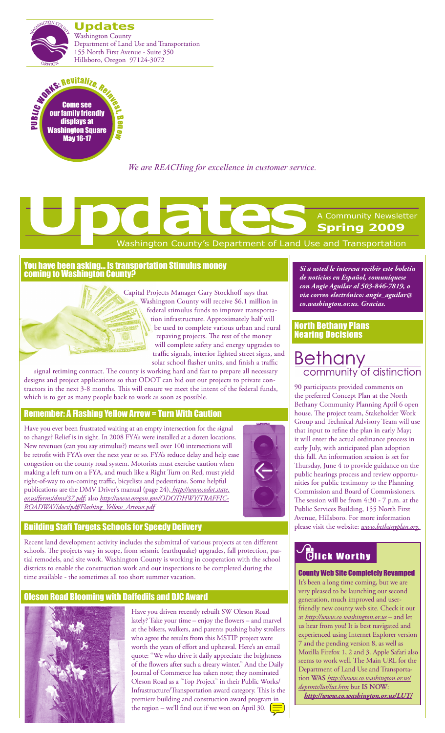



*We are REACHing for excellence in customer service.*

# Washington County's Department of Land Use and Transportation A Community Newsletter **Spring 2009 Updates**<br> **Updates**<br> **Updates**<br> **Washington County's Department of Land Up**

#### You have been asking… Is transportation Stimulus money coming to Washington County?

Capital Projects Manager Gary Stockhoff says that Washington County will receive \$6.1 million in federal stimulus funds to improve transportation infrastructure. Approximately half will be used to complete various urban and rural repaving projects. The rest of the money will complete safety and energy upgrades to traffic signals, interior lighted street signs, and solar school flasher units, and finish a traffic

signal retiming contract. The county is working hard and fast to prepare all necessary designs and project applications so that ODOT can bid out our projects to private contractors in the next 3-8 months. This will ensure we meet the intent of the federal funds, which is to get as many people back to work as soon as possible.

### Remember: A Flashing Yellow Arrow = Turn With Caution

Have you ever been frustrated waiting at an empty intersection for the signal to change? Relief is in sight. In 2008 FYA's were installed at a dozen locations. New revenues (can you say stimulus?) means well over 100 intersections will be retrofit with FYA's over the next year or so. FYA's reduce delay and help ease congestion on the county road system. Motorists must exercise caution when making a left turn on a FYA, and much like a Right Turn on Red, must yield right-of-way to on-coming traffic, bicyclists and pedestrians. Some helpful publications are the DMV Driver's manual (page 24), *http://www.odot.state. or.us/forms/dmv/37.pdf*; also *http://www.oregon.gov/ODOT/HWY/TRAFFIC-ROADWAY/docs/pdf/Flashing\_Yellow\_Arrows.pdf*



### Building Staff Targets Schools for Speedy Delivery

Recent land development activity includes the submittal of various projects at ten different schools. The projects vary in scope, from seismic (earthquake) upgrades, fall protection, partial remodels, and site work. Washington County is working in cooperation with the school districts to enable the construction work and our inspections to be completed during the time available - the sometimes all too short summer vacation.

### Oleson Road Blooming with Daffodils and DJC Award



Have you driven recently rebuilt SW Oleson Road lately? Take your time – enjoy the flowers – and marvel at the bikers, walkers, and parents pushing baby strollers who agree the results from this MSTIP project were worth the years of effort and upheaval. Here's an email quote: "We who drive it daily appreciate the brightness of the flowers after such a dreary winter." And the Daily Journal of Commerce has taken note; they nominated Oleson Road as a "Top Project" in their Public Works/ Infrastructure/Transportation award category. This is the premiere building and construction award program in the region – we'll find out if we won on April 30.  $\boxed{\equiv}$ 

*Si a usted le interesa recibir este boletín de noticias en Español, comuníquese con Angie Aguilar al 503-846-7819, o via correo electrónico: angie\_aguilar@ co.washington.or.us. Gracias.*

#### North Bethany Plans Nearing Decisions

## **Bethany** community of distinction

90 participants provided comments on the preferred Concept Plan at the North Bethany Community Planning April 6 open house. The project team, Stakeholder Work Group and Technical Advisory Team will use that input to refine the plan in early May; it will enter the actual ordinance process in early July, with anticipated plan adoption this fall. An information session is set for Thursday, June 4 to provide guidance on the public hearings process and review opportunities for public testimony to the Planning Commission and Board of Commissioners. The session will be from 4:30 - 7 p.m. at the Public Services Building, 155 North First Avenue, Hillsboro. For more information please visit the website: *www.bethanyplan.org.* 

# **Tick Worthy**

#### County Web Site Completely Revamped

It's been a long time coming, but we are very pleased to be launching our second generation, much improved and userfriendly new county web site. Check it out at *http://www.co.washington.or.us* – and let us hear from you! It is best navigated and experienced using Internet Explorer version 7 and the pending version 8, as well as Mozilla Firefox 1, 2 and 3. Apple Safari also seems to work well. The Main URL for the Department of Land Use and Transportation **WAS** *http://www.co.washington.or.us/ deptmts/lut/lut.htm* but **IS NOW**:

*<http://www.co.washington.or.us/LUT/>*